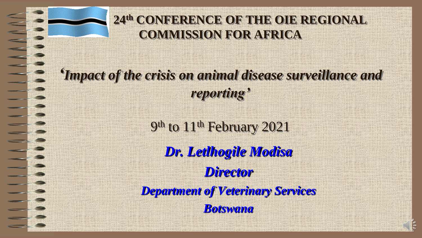

#### **24th CONFERENCE OF THE OIE REGIONAL COMMISSION FOR AFRICA**

*'Impact of the crisis on animal disease surveillance and reporting'*

> 9<sup>th</sup> to 11<sup>th</sup> February 2021 *Dr. Letlhogile Modisa Director Department of Veterinary Services Botswana*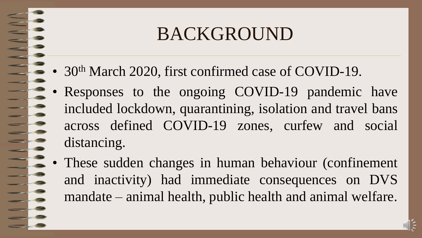## BACKGROUND

- 30<sup>th</sup> March 2020, first confirmed case of COVID-19.
- Responses to the ongoing COVID-19 pandemic have included lockdown, quarantining, isolation and travel bans across defined COVID-19 zones, curfew and social distancing.
- These sudden changes in human behaviour (confinement and inactivity) had immediate consequences on DVS mandate – animal health, public health and animal welfare.

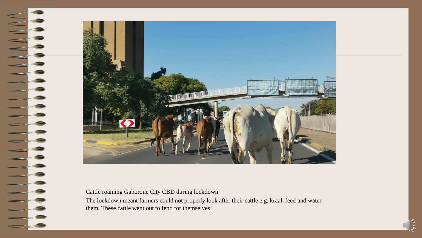

#### Cattle roaming Gaborone City CBD during lockdown

The lockdown meant farmers could not properly look after their cattle e.g. kraal, feed and water them. These cattle went out to fend for themselves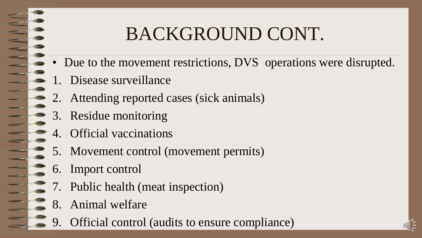# BACKGROUND CONT.

- Due to the movement restrictions, DVS operations were disrupted.
- 1. Disease surveillance
- 2. Attending reported cases (sick animals)
- 3. Residue monitoring
- 4. Official vaccinations
- 5. Movement control (movement permits)
- 6. Import control
- 7. Public health (meat inspection)
- 8. Animal welfare
- 9. Official control (audits to ensure compliance)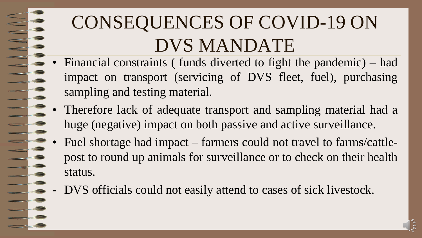# CONSEQUENCES OF COVID-19 ON DVS MANDATE

- Financial constraints ( funds diverted to fight the pandemic) had impact on transport (servicing of DVS fleet, fuel), purchasing sampling and testing material.
- Therefore lack of adequate transport and sampling material had a huge (negative) impact on both passive and active surveillance.
- Fuel shortage had impact farmers could not travel to farms/cattlepost to round up animals for surveillance or to check on their health status.
- DVS officials could not easily attend to cases of sick livestock.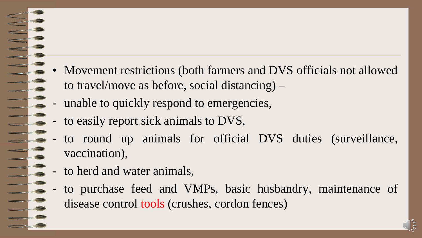- Movement restrictions (both farmers and DVS officials not allowed to travel/move as before, social distancing) –
	- unable to quickly respond to emergencies,
- to easily report sick animals to DVS,
- to round up animals for official DVS duties (surveillance, vaccination),
- to herd and water animals,
- to purchase feed and VMPs, basic husbandry, maintenance of disease control tools (crushes, cordon fences)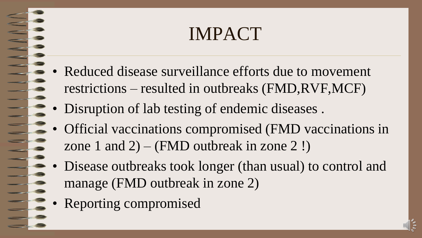## IMPACT

- Reduced disease surveillance efforts due to movement restrictions – resulted in outbreaks (FMD,RVF,MCF)
- Disruption of lab testing of endemic diseases .
- Official vaccinations compromised (FMD vaccinations in zone 1 and  $2) - (FMD$  outbreak in zone 2!)
- Disease outbreaks took longer (than usual) to control and manage (FMD outbreak in zone 2)
- Reporting compromised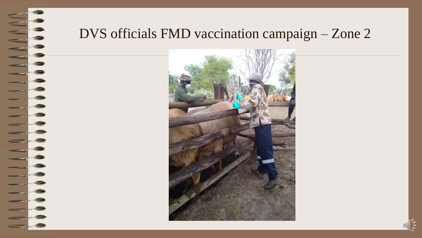# September 1991

#### DVS officials FMD vaccination campaign – Zone 2